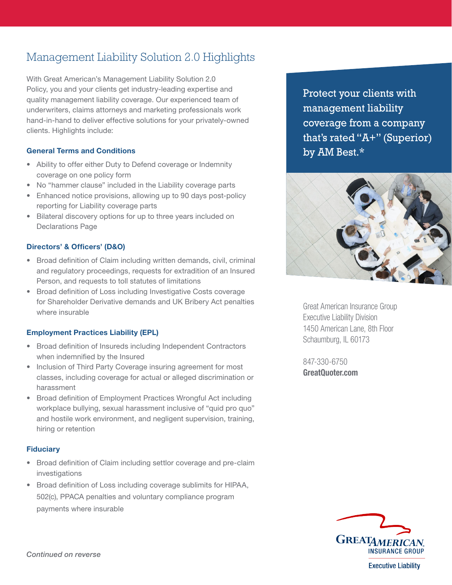# Management Liability Solution 2.0 Highlights

With Great American's Management Liability Solution 2.0 Policy, you and your clients get industry-leading expertise and quality management liability coverage. Our experienced team of underwriters, claims attorneys and marketing professionals work hand-in-hand to deliver effective solutions for your privately-owned clients. Highlights include:

## General Terms and Conditions

- Ability to offer either Duty to Defend coverage or Indemnity coverage on one policy form
- No "hammer clause" included in the Liability coverage parts
- Enhanced notice provisions, allowing up to 90 days post-policy reporting for Liability coverage parts
- Bilateral discovery options for up to three years included on Declarations Page

# Directors' & Officers' (D&O)

- Broad definition of Claim including written demands, civil, criminal and regulatory proceedings, requests for extradition of an Insured Person, and requests to toll statutes of limitations
- Broad definition of Loss including Investigative Costs coverage for Shareholder Derivative demands and UK Bribery Act penalties where insurable

# Employment Practices Liability (EPL)

- Broad definition of Insureds including Independent Contractors when indemnified by the Insured
- Inclusion of Third Party Coverage insuring agreement for most classes, including coverage for actual or alleged discrimination or harassment
- Broad definition of Employment Practices Wrongful Act including workplace bullying, sexual harassment inclusive of "quid pro quo" and hostile work environment, and negligent supervision, training, hiring or retention

#### **Fiduciary**

- Broad definition of Claim including settlor coverage and pre-claim investigations
- Broad definition of Loss including coverage sublimits for HIPAA, 502(c), PPACA penalties and voluntary compliance program payments where insurable

Protect your clients with management liability coverage from a company that's rated "A+" (Superior) by AM Best.\*



Great American Insurance Group Executive Liability Division 1450 American Lane, 8th Floor Schaumburg, IL 60173

847-330-6750 GreatQuoter.com



**Executive Liability**